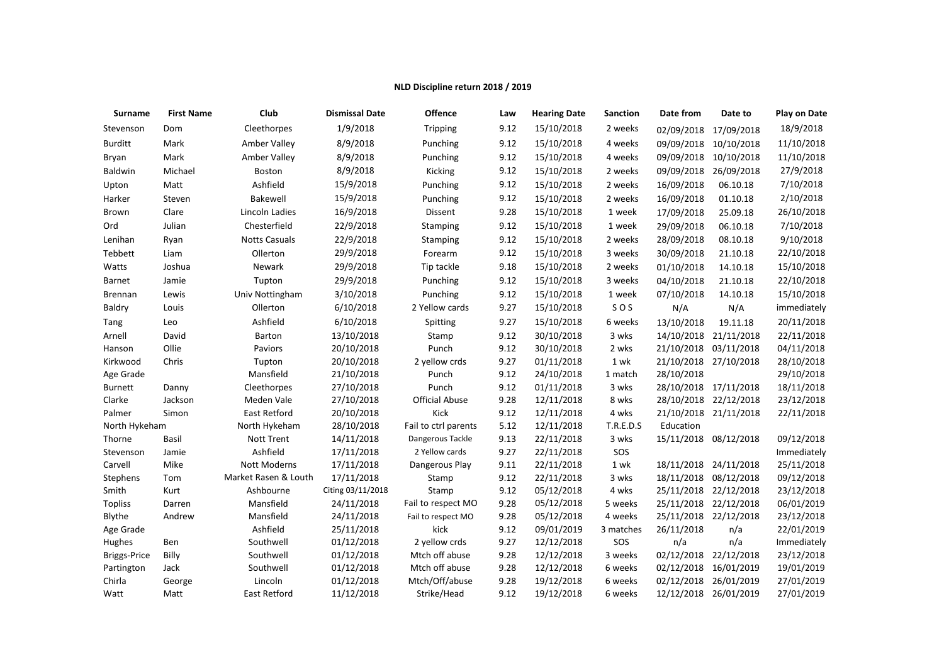## **NLD Discipline return 2018 / 2019**

| Surname             | <b>First Name</b> | Club                 | <b>Dismissal Date</b> | Offence               | Law  | <b>Hearing Date</b> | <b>Sanction</b> | Date from  | Date to               | <b>Play on Date</b> |
|---------------------|-------------------|----------------------|-----------------------|-----------------------|------|---------------------|-----------------|------------|-----------------------|---------------------|
| Stevenson           | Dom               | Cleethorpes          | 1/9/2018              | Tripping              | 9.12 | 15/10/2018          | 2 weeks         | 02/09/2018 | 17/09/2018            | 18/9/2018           |
| <b>Burditt</b>      | Mark              | Amber Valley         | 8/9/2018              | Punching              | 9.12 | 15/10/2018          | 4 weeks         | 09/09/2018 | 10/10/2018            | 11/10/2018          |
| Bryan               | Mark              | <b>Amber Valley</b>  | 8/9/2018              | Punching              | 9.12 | 15/10/2018          | 4 weeks         | 09/09/2018 | 10/10/2018            | 11/10/2018          |
| Baldwin             | Michael           | Boston               | 8/9/2018              | Kicking               | 9.12 | 15/10/2018          | 2 weeks         | 09/09/2018 | 26/09/2018            | 27/9/2018           |
| Upton               | Matt              | Ashfield             | 15/9/2018             | Punching              | 9.12 | 15/10/2018          | 2 weeks         | 16/09/2018 | 06.10.18              | 7/10/2018           |
| Harker              | Steven            | Bakewell             | 15/9/2018             | Punching              | 9.12 | 15/10/2018          | 2 weeks         | 16/09/2018 | 01.10.18              | 2/10/2018           |
| Brown               | Clare             | Lincoln Ladies       | 16/9/2018             | Dissent               | 9.28 | 15/10/2018          | 1 week          | 17/09/2018 | 25.09.18              | 26/10/2018          |
| Ord                 | Julian            | Chesterfield         | 22/9/2018             | Stamping              | 9.12 | 15/10/2018          | 1 week          | 29/09/2018 | 06.10.18              | 7/10/2018           |
| Lenihan             | Ryan              | <b>Notts Casuals</b> | 22/9/2018             | Stamping              | 9.12 | 15/10/2018          | 2 weeks         | 28/09/2018 | 08.10.18              | 9/10/2018           |
| Tebbett             | Liam              | Ollerton             | 29/9/2018             | Forearm               | 9.12 | 15/10/2018          | 3 weeks         | 30/09/2018 | 21.10.18              | 22/10/2018          |
| Watts               | Joshua            | Newark               | 29/9/2018             | Tip tackle            | 9.18 | 15/10/2018          | 2 weeks         | 01/10/2018 | 14.10.18              | 15/10/2018          |
| Barnet              | Jamie             | Tupton               | 29/9/2018             | Punching              | 9.12 | 15/10/2018          | 3 weeks         | 04/10/2018 | 21.10.18              | 22/10/2018          |
| <b>Brennan</b>      | Lewis             | Univ Nottingham      | 3/10/2018             | Punching              | 9.12 | 15/10/2018          | 1 week          | 07/10/2018 | 14.10.18              | 15/10/2018          |
| <b>Baldry</b>       | Louis             | Ollerton             | 6/10/2018             | 2 Yellow cards        | 9.27 | 15/10/2018          | SOS             | N/A        | N/A                   | immediately         |
| Tang                | Leo               | Ashfield             | 6/10/2018             | Spitting              | 9.27 | 15/10/2018          | 6 weeks         | 13/10/2018 | 19.11.18              | 20/11/2018          |
| Arnell              | David             | Barton               | 13/10/2018            | Stamp                 | 9.12 | 30/10/2018          | 3 wks           | 14/10/2018 | 21/11/2018            | 22/11/2018          |
| Hanson              | Ollie             | Paviors              | 20/10/2018            | Punch                 | 9.12 | 30/10/2018          | 2 wks           | 21/10/2018 | 03/11/2018            | 04/11/2018          |
| Kirkwood            | Chris             | Tupton               | 20/10/2018            | 2 yellow crds         | 9.27 | 01/11/2018          | 1 wk            | 21/10/2018 | 27/10/2018            | 28/10/2018          |
| Age Grade           |                   | Mansfield            | 21/10/2018            | Punch                 | 9.12 | 24/10/2018          | 1 match         | 28/10/2018 |                       | 29/10/2018          |
| <b>Burnett</b>      | Danny             | Cleethorpes          | 27/10/2018            | Punch                 | 9.12 | 01/11/2018          | 3 wks           | 28/10/2018 | 17/11/2018            | 18/11/2018          |
| Clarke              | Jackson           | Meden Vale           | 27/10/2018            | <b>Official Abuse</b> | 9.28 | 12/11/2018          | 8 wks           |            | 28/10/2018 22/12/2018 | 23/12/2018          |
| Palmer              | Simon             | <b>East Retford</b>  | 20/10/2018            | Kick                  | 9.12 | 12/11/2018          | 4 wks           |            | 21/10/2018 21/11/2018 | 22/11/2018          |
| North Hykeham       |                   | North Hykeham        | 28/10/2018            | Fail to ctrl parents  | 5.12 | 12/11/2018          | T.R.E.D.S       | Education  |                       |                     |
| Thorne              | Basil             | <b>Nott Trent</b>    | 14/11/2018            | Dangerous Tackle      | 9.13 | 22/11/2018          | 3 wks           | 15/11/2018 | 08/12/2018            | 09/12/2018          |
| Stevenson           | Jamie             | Ashfield             | 17/11/2018            | 2 Yellow cards        | 9.27 | 22/11/2018          | SOS             |            |                       | Immediately         |
| Carvell             | Mike              | Nott Moderns         | 17/11/2018            | Dangerous Play        | 9.11 | 22/11/2018          | 1 wk            | 18/11/2018 | 24/11/2018            | 25/11/2018          |
| Stephens            | Tom               | Market Rasen & Louth | 17/11/2018            | Stamp                 | 9.12 | 22/11/2018          | 3 wks           | 18/11/2018 | 08/12/2018            | 09/12/2018          |
| Smith               | Kurt              | Ashbourne            | Citing 03/11/2018     | Stamp                 | 9.12 | 05/12/2018          | 4 wks           | 25/11/2018 | 22/12/2018            | 23/12/2018          |
| <b>Topliss</b>      | Darren            | Mansfield            | 24/11/2018            | Fail to respect MO    | 9.28 | 05/12/2018          | 5 weeks         | 25/11/2018 | 22/12/2018            | 06/01/2019          |
| Blythe              | Andrew            | Mansfield            | 24/11/2018            | Fail to respect MO    | 9.28 | 05/12/2018          | 4 weeks         | 25/11/2018 | 22/12/2018            | 23/12/2018          |
| Age Grade           |                   | Ashfield             | 25/11/2018            | kick                  | 9.12 | 09/01/2019          | 3 matches       | 26/11/2018 | n/a                   | 22/01/2019          |
| Hughes              | Ben               | Southwell            | 01/12/2018            | 2 yellow crds         | 9.27 | 12/12/2018          | SOS             | n/a        | n/a                   | Immediately         |
| <b>Briggs-Price</b> | Billy             | Southwell            | 01/12/2018            | Mtch off abuse        | 9.28 | 12/12/2018          | 3 weeks         | 02/12/2018 | 22/12/2018            | 23/12/2018          |
| Partington          | Jack              | Southwell            | 01/12/2018            | Mtch off abuse        | 9.28 | 12/12/2018          | 6 weeks         | 02/12/2018 | 16/01/2019            | 19/01/2019          |
| Chirla              | George            | Lincoln              | 01/12/2018            | Mtch/Off/abuse        | 9.28 | 19/12/2018          | 6 weeks         | 02/12/2018 | 26/01/2019            | 27/01/2019          |
| Watt                | Matt              | East Retford         | 11/12/2018            | Strike/Head           | 9.12 | 19/12/2018          | 6 weeks         | 12/12/2018 | 26/01/2019            | 27/01/2019          |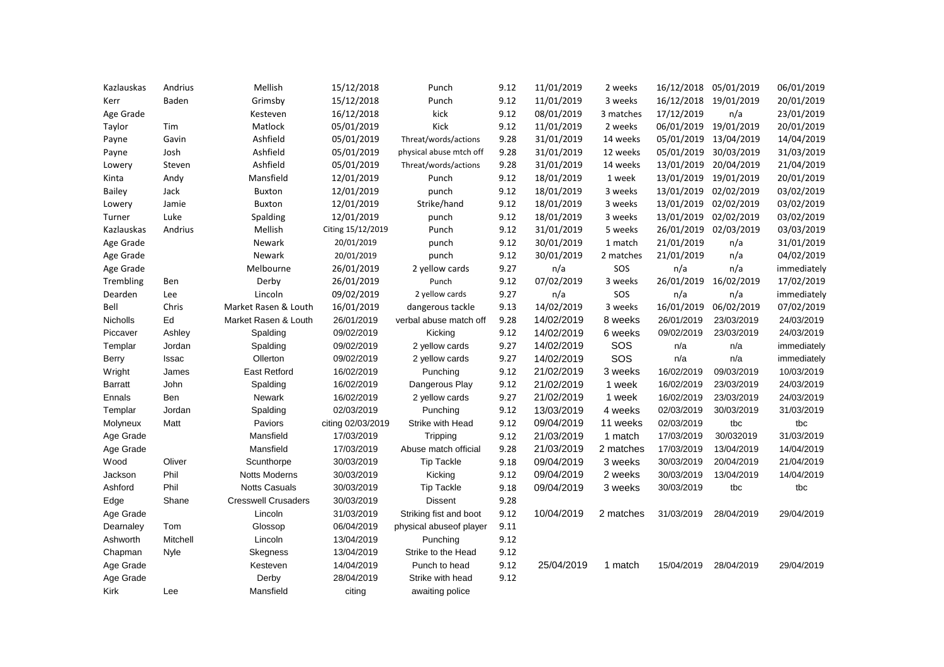| Kazlauskas    | Andrius  | Mellish                    | 15/12/2018        | Punch                   | 9.12 | 11/01/2019 | 2 weeks   | 16/12/2018 | 05/01/2019 | 06/01/2019  |
|---------------|----------|----------------------------|-------------------|-------------------------|------|------------|-----------|------------|------------|-------------|
| Kerr          | Baden    | Grimsby                    | 15/12/2018        | Punch                   | 9.12 | 11/01/2019 | 3 weeks   | 16/12/2018 | 19/01/2019 | 20/01/2019  |
| Age Grade     |          | Kesteven                   | 16/12/2018        | kick                    | 9.12 | 08/01/2019 | 3 matches | 17/12/2019 | n/a        | 23/01/2019  |
| Taylor        | Tim      | Matlock                    | 05/01/2019        | Kick                    | 9.12 | 11/01/2019 | 2 weeks   | 06/01/2019 | 19/01/2019 | 20/01/2019  |
| Payne         | Gavin    | Ashfield                   | 05/01/2019        | Threat/words/actions    | 9.28 | 31/01/2019 | 14 weeks  | 05/01/2019 | 13/04/2019 | 14/04/2019  |
| Payne         | Josh     | Ashfield                   | 05/01/2019        | physical abuse mtch off | 9.28 | 31/01/2019 | 12 weeks  | 05/01/2019 | 30/03/2019 | 31/03/2019  |
| Lowery        | Steven   | Ashfield                   | 05/01/2019        | Threat/words/actions    | 9.28 | 31/01/2019 | 14 weeks  | 13/01/2019 | 20/04/2019 | 21/04/2019  |
| Kinta         | Andy     | Mansfield                  | 12/01/2019        | Punch                   | 9.12 | 18/01/2019 | 1 week    | 13/01/2019 | 19/01/2019 | 20/01/2019  |
| <b>Bailey</b> | Jack     | Buxton                     | 12/01/2019        | punch                   | 9.12 | 18/01/2019 | 3 weeks   | 13/01/2019 | 02/02/2019 | 03/02/2019  |
| Lowery        | Jamie    | Buxton                     | 12/01/2019        | Strike/hand             | 9.12 | 18/01/2019 | 3 weeks   | 13/01/2019 | 02/02/2019 | 03/02/2019  |
| Turner        | Luke     | Spalding                   | 12/01/2019        | punch                   | 9.12 | 18/01/2019 | 3 weeks   | 13/01/2019 | 02/02/2019 | 03/02/2019  |
| Kazlauskas    | Andrius  | Mellish                    | Citing 15/12/2019 | Punch                   | 9.12 | 31/01/2019 | 5 weeks   | 26/01/2019 | 02/03/2019 | 03/03/2019  |
| Age Grade     |          | Newark                     | 20/01/2019        | punch                   | 9.12 | 30/01/2019 | 1 match   | 21/01/2019 | n/a        | 31/01/2019  |
| Age Grade     |          | Newark                     | 20/01/2019        | punch                   | 9.12 | 30/01/2019 | 2 matches | 21/01/2019 | n/a        | 04/02/2019  |
| Age Grade     |          | Melbourne                  | 26/01/2019        | 2 yellow cards          | 9.27 | n/a        | SOS       | n/a        | n/a        | immediately |
| Trembling     | Ben      | Derby                      | 26/01/2019        | Punch                   | 9.12 | 07/02/2019 | 3 weeks   | 26/01/2019 | 16/02/2019 | 17/02/2019  |
| Dearden       | Lee      | Lincoln                    | 09/02/2019        | 2 yellow cards          | 9.27 | n/a        | SOS       | n/a        | n/a        | immediately |
| Bell          | Chris    | Market Rasen & Louth       | 16/01/2019        | dangerous tackle        | 9.13 | 14/02/2019 | 3 weeks   | 16/01/2019 | 06/02/2019 | 07/02/2019  |
| Nicholls      | Ed       | Market Rasen & Louth       | 26/01/2019        | verbal abuse match off  | 9.28 | 14/02/2019 | 8 weeks   | 26/01/2019 | 23/03/2019 | 24/03/2019  |
| Piccaver      | Ashley   | Spalding                   | 09/02/2019        | Kicking                 | 9.12 | 14/02/2019 | 6 weeks   | 09/02/2019 | 23/03/2019 | 24/03/2019  |
| Templar       | Jordan   | Spalding                   | 09/02/2019        | 2 yellow cards          | 9.27 | 14/02/2019 | SOS       | n/a        | n/a        | immediately |
| Berry         | Issac    | Ollerton                   | 09/02/2019        | 2 yellow cards          | 9.27 | 14/02/2019 | SOS       | n/a        | n/a        | immediately |
| Wright        | James    | <b>East Retford</b>        | 16/02/2019        | Punching                | 9.12 | 21/02/2019 | 3 weeks   | 16/02/2019 | 09/03/2019 | 10/03/2019  |
| Barratt       | John     | Spalding                   | 16/02/2019        | Dangerous Play          | 9.12 | 21/02/2019 | 1 week    | 16/02/2019 | 23/03/2019 | 24/03/2019  |
| Ennals        | Ben      | <b>Newark</b>              | 16/02/2019        | 2 yellow cards          | 9.27 | 21/02/2019 | 1 week    | 16/02/2019 | 23/03/2019 | 24/03/2019  |
| Templar       | Jordan   |                            |                   |                         |      |            |           |            |            |             |
| Molyneux      |          | Spalding                   | 02/03/2019        | Punching                | 9.12 | 13/03/2019 | 4 weeks   | 02/03/2019 | 30/03/2019 | 31/03/2019  |
|               | Matt     | Paviors                    | citing 02/03/2019 | Strike with Head        | 9.12 | 09/04/2019 | 11 weeks  | 02/03/2019 | tbc        | tbc         |
| Age Grade     |          | Mansfield                  | 17/03/2019        | <b>Tripping</b>         | 9.12 | 21/03/2019 | 1 match   | 17/03/2019 | 30/032019  | 31/03/2019  |
| Age Grade     |          | Mansfield                  | 17/03/2019        | Abuse match official    | 9.28 | 21/03/2019 | 2 matches | 17/03/2019 | 13/04/2019 | 14/04/2019  |
| Wood          | Oliver   | Scunthorpe                 | 30/03/2019        | <b>Tip Tackle</b>       | 9.18 | 09/04/2019 | 3 weeks   | 30/03/2019 | 20/04/2019 | 21/04/2019  |
| Jackson       | Phil     | <b>Notts Moderns</b>       | 30/03/2019        | Kicking                 | 9.12 | 09/04/2019 | 2 weeks   | 30/03/2019 | 13/04/2019 | 14/04/2019  |
| Ashford       | Phil     | <b>Notts Casuals</b>       | 30/03/2019        | <b>Tip Tackle</b>       | 9.18 | 09/04/2019 | 3 weeks   | 30/03/2019 | tbc        | tbc         |
| Edge          | Shane    | <b>Cresswell Crusaders</b> | 30/03/2019        | <b>Dissent</b>          | 9.28 |            |           |            |            |             |
| Age Grade     |          | Lincoln                    | 31/03/2019        | Striking fist and boot  | 9.12 | 10/04/2019 | 2 matches | 31/03/2019 | 28/04/2019 | 29/04/2019  |
| Dearnaley     | Tom      | Glossop                    | 06/04/2019        | physical abuseof player | 9.11 |            |           |            |            |             |
| Ashworth      | Mitchell | Lincoln                    | 13/04/2019        | Punching                | 9.12 |            |           |            |            |             |
| Chapman       | Nyle     | <b>Skegness</b>            | 13/04/2019        | Strike to the Head      | 9.12 |            |           |            |            |             |
| Age Grade     |          | Kesteven                   | 14/04/2019        | Punch to head           | 9.12 | 25/04/2019 | 1 match   | 15/04/2019 | 28/04/2019 | 29/04/2019  |
| Age Grade     |          | Derby                      | 28/04/2019        | Strike with head        | 9.12 |            |           |            |            |             |